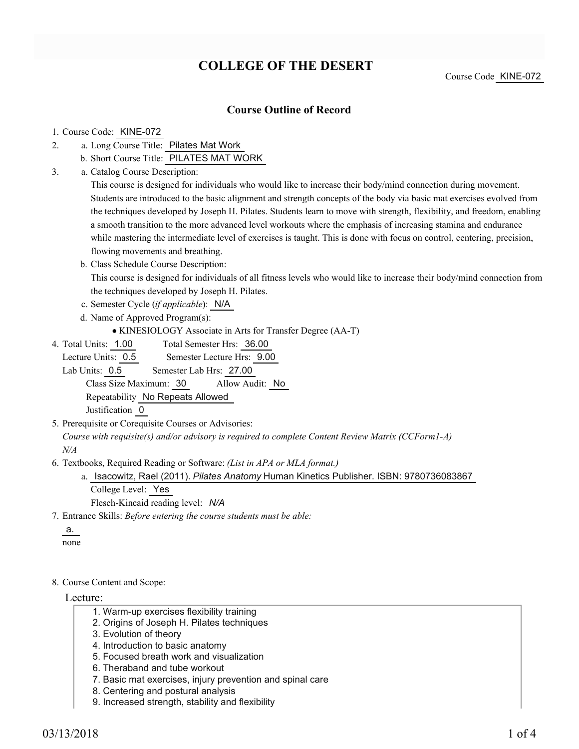# **COLLEGE OF THE DESERT**

Course Code KINE-072

### **Course Outline of Record**

#### 1. Course Code: KINE-072

- a. Long Course Title: Pilates Mat Work 2.
	- b. Short Course Title: PILATES MAT WORK
- Catalog Course Description: a. 3.

This course is designed for individuals who would like to increase their body/mind connection during movement. Students are introduced to the basic alignment and strength concepts of the body via basic mat exercises evolved from the techniques developed by Joseph H. Pilates. Students learn to move with strength, flexibility, and freedom, enabling a smooth transition to the more advanced level workouts where the emphasis of increasing stamina and endurance while mastering the intermediate level of exercises is taught. This is done with focus on control, centering, precision, flowing movements and breathing.

b. Class Schedule Course Description:

This course is designed for individuals of all fitness levels who would like to increase their body/mind connection from the techniques developed by Joseph H. Pilates.

- c. Semester Cycle (*if applicable*): N/A
- d. Name of Approved Program(s):

```
KINESIOLOGY Associate in Arts for Transfer Degree (AA-T)
```
Total Semester Hrs: 36.00 4. Total Units: 1.00

Lecture Units: 0.5 Semester Lecture Hrs: 9.00 Lab Units: 0.5 Semester Lab Hrs: 27.00 Class Size Maximum: 30 Allow Audit: No Repeatability No Repeats Allowed Justification 0

5. Prerequisite or Corequisite Courses or Advisories:

*Course with requisite(s) and/or advisory is required to complete Content Review Matrix (CCForm1-A) N/A*

Textbooks, Required Reading or Software: *(List in APA or MLA format.)* 6.

a. Isacowitz, Rael (2011). *Pilates Anatomy* Human Kinetics Publisher. ISBN: 9780736083867 College Level: Yes

Flesch-Kincaid reading level: *N/A*

Entrance Skills: *Before entering the course students must be able:* 7.

a. none

#### 8. Course Content and Scope:

#### Lecture:

- 1. Warm-up exercises flexibility training
- 2. Origins of Joseph H. Pilates techniques
- 3. Evolution of theory
- 4. Introduction to basic anatomy
- 5. Focused breath work and visualization
- 6. Theraband and tube workout
- 7. Basic mat exercises, injury prevention and spinal care
- 8. Centering and postural analysis
- 9. Increased strength, stability and flexibility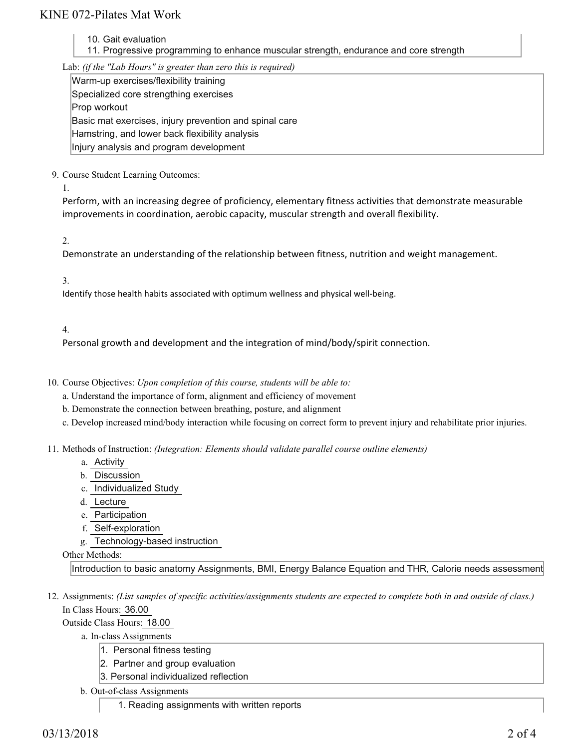## KINE 072-Pilates Mat Work

- 10. Gait evaluation
- 11. Progressive programming to enhance muscular strength, endurance and core strength

Lab: *(if the "Lab Hours" is greater than zero this is required)*

Warm-up exercises/flexibility training Specialized core strengthing exercises Prop workout Basic mat exercises, injury prevention and spinal care Hamstring, and lower back flexibility analysis Injury analysis and program development

9. Course Student Learning Outcomes:

1.

Perform, with an increasing degree of proficiency, elementary fitness activities that demonstrate measurable improvements in coordination, aerobic capacity, muscular strength and overall flexibility.

2.

Demonstrate an understanding of the relationship between fitness, nutrition and weight management.

3.

Identify those health habits associated with optimum wellness and physical well-being.

4.

Personal growth and development and the integration of mind/body/spirit connection.

- 10. Course Objectives: Upon completion of this course, students will be able to:
	- a. Understand the importance of form, alignment and efficiency of movement
	- b. Demonstrate the connection between breathing, posture, and alignment
	- c. Develop increased mind/body interaction while focusing on correct form to prevent injury and rehabilitate prior injuries.
- 11. Methods of Instruction: *(Integration: Elements should validate parallel course outline elements)* 
	- a. Activity
	- b. Discussion
	- c. Individualized Study
	- d. Lecture
	- e. Participation
	- f. Self-exploration
	- g. Technology-based instruction

### Other Methods:

Introduction to basic anatomy Assignments, BMI, Energy Balance Equation and THR, Calorie needs assessment

12. Assignments: (List samples of specific activities/assignments students are expected to complete both in and outside of class.) In Class Hours: 36.00

Outside Class Hours: 18.00

a. In-class Assignments

- 1. Personal fitness testing
- 2. Partner and group evaluation
- 3. Personal individualized reflection
- b. Out-of-class Assignments
	- 1. Reading assignments with written reports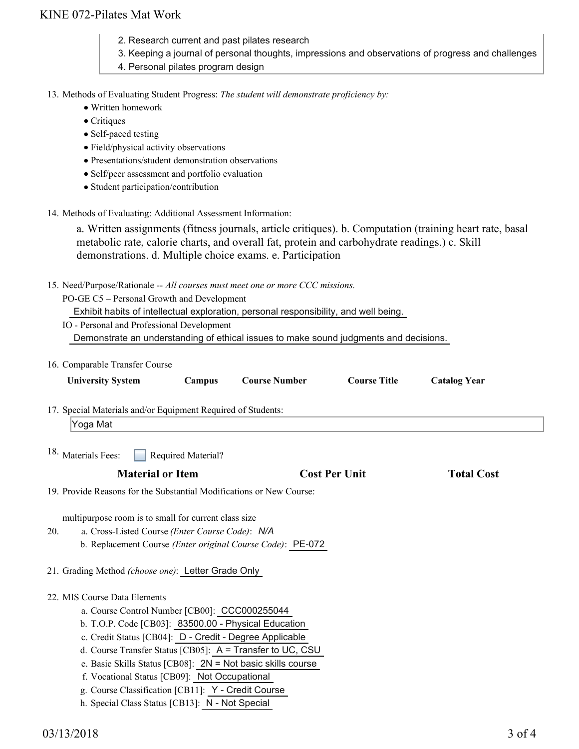## KINE 072-Pilates Mat Work

- 2. Research current and past pilates research
- 3. Keeping a journal of personal thoughts, impressions and observations of progress and challenges
- 4. Personal pilates program design

13. Methods of Evaluating Student Progress: The student will demonstrate proficiency by:

- Written homework
- Critiques
- Self-paced testing
- Field/physical activity observations
- Presentations/student demonstration observations
- Self/peer assessment and portfolio evaluation
- Student participation/contribution
- 14. Methods of Evaluating: Additional Assessment Information:

a. Written assignments (fitness journals, article critiques). b. Computation (training heart rate, basal metabolic rate, calorie charts, and overall fat, protein and carbohydrate readings.) c. Skill demonstrations. d. Multiple choice exams. e. Participation

15. Need/Purpose/Rationale -- All courses must meet one or more CCC missions.

PO-GE C5 – Personal Growth and Development

Exhibit habits of intellectual exploration, personal responsibility, and well being.

IO - Personal and Professional Development Demonstrate an understanding of ethical issues to make sound judgments and decisions.

| 16. Comparable Transfer Course                                                                                                                                                                                                                                                                                                                             |                    |                                                                                                                            |                      |                     |
|------------------------------------------------------------------------------------------------------------------------------------------------------------------------------------------------------------------------------------------------------------------------------------------------------------------------------------------------------------|--------------------|----------------------------------------------------------------------------------------------------------------------------|----------------------|---------------------|
| <b>University System</b>                                                                                                                                                                                                                                                                                                                                   | Campus             | <b>Course Number</b>                                                                                                       | <b>Course Title</b>  | <b>Catalog Year</b> |
| 17. Special Materials and/or Equipment Required of Students:                                                                                                                                                                                                                                                                                               |                    |                                                                                                                            |                      |                     |
| Yoga Mat                                                                                                                                                                                                                                                                                                                                                   |                    |                                                                                                                            |                      |                     |
| <sup>18.</sup> Materials Fees:                                                                                                                                                                                                                                                                                                                             | Required Material? |                                                                                                                            |                      |                     |
| <b>Material or Item</b>                                                                                                                                                                                                                                                                                                                                    |                    |                                                                                                                            | <b>Cost Per Unit</b> | <b>Total Cost</b>   |
| 19. Provide Reasons for the Substantial Modifications or New Course:                                                                                                                                                                                                                                                                                       |                    |                                                                                                                            |                      |                     |
| multipurpose room is to small for current class size<br>a. Cross-Listed Course (Enter Course Code): N/A<br>20.<br>21. Grading Method (choose one): Letter Grade Only                                                                                                                                                                                       |                    | b. Replacement Course (Enter original Course Code): PE-072                                                                 |                      |                     |
| 22. MIS Course Data Elements<br>a. Course Control Number [CB00]: CCC000255044<br>b. T.O.P. Code [CB03]: 83500.00 - Physical Education<br>c. Credit Status [CB04]: D - Credit - Degree Applicable<br>f. Vocational Status [CB09]: Not Occupational<br>g. Course Classification [CB11]: Y - Credit Course<br>h. Special Class Status [CB13]: N - Not Special |                    | d. Course Transfer Status [CB05]: A = Transfer to UC, CSU<br>e. Basic Skills Status [CB08]: $2N = Not basic skills course$ |                      |                     |